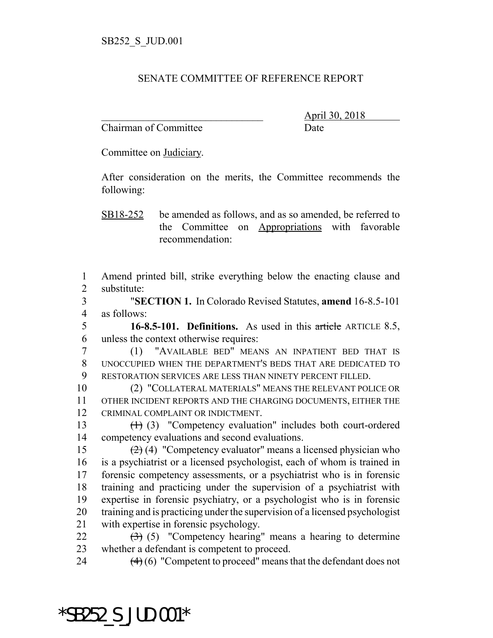## SENATE COMMITTEE OF REFERENCE REPORT

Chairman of Committee Date

\_\_\_\_\_\_\_\_\_\_\_\_\_\_\_\_\_\_\_\_\_\_\_\_\_\_\_\_\_\_\_ April 30, 2018

Committee on Judiciary.

After consideration on the merits, the Committee recommends the following:

SB18-252 be amended as follows, and as so amended, be referred to the Committee on Appropriations with favorable recommendation:

1 Amend printed bill, strike everything below the enacting clause and 2 substitute:

3 "**SECTION 1.** In Colorado Revised Statutes, **amend** 16-8.5-101 4 as follows:

5 **16-8.5-101. Definitions.** As used in this article ARTICLE 8.5, 6 unless the context otherwise requires:

7 (1) "AVAILABLE BED" MEANS AN INPATIENT BED THAT IS 8 UNOCCUPIED WHEN THE DEPARTMENT'S BEDS THAT ARE DEDICATED TO 9 RESTORATION SERVICES ARE LESS THAN NINETY PERCENT FILLED.

10 (2) "COLLATERAL MATERIALS" MEANS THE RELEVANT POLICE OR 11 OTHER INCIDENT REPORTS AND THE CHARGING DOCUMENTS, EITHER THE 12 CRIMINAL COMPLAINT OR INDICTMENT.

13 (1) (3) "Competency evaluation" includes both court-ordered 14 competency evaluations and second evaluations.

 $(2)(4)$  "Competency evaluator" means a licensed physician who is a psychiatrist or a licensed psychologist, each of whom is trained in forensic competency assessments, or a psychiatrist who is in forensic training and practicing under the supervision of a psychiatrist with expertise in forensic psychiatry, or a psychologist who is in forensic training and is practicing under the supervision of a licensed psychologist with expertise in forensic psychology.

 $22 \left(3\right)$  (5) "Competency hearing" means a hearing to determine 23 whether a defendant is competent to proceed.

\*SB252\_S\_JUD.001\*

24  $(4)(6)$  "Competent to proceed" means that the defendant does not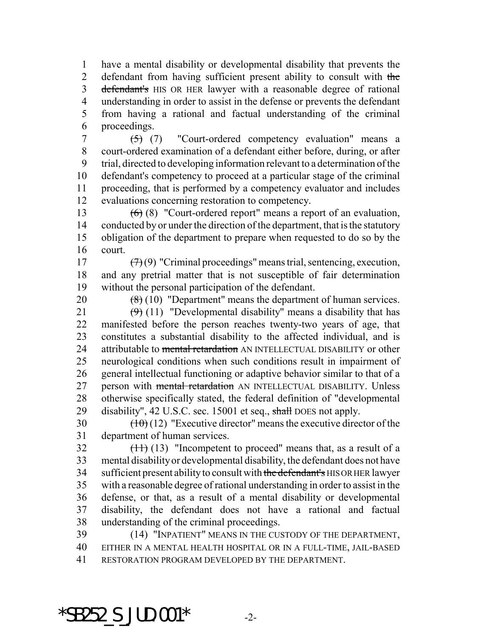have a mental disability or developmental disability that prevents the 2 defendant from having sufficient present ability to consult with the 3 defendant's HIS OR HER lawyer with a reasonable degree of rational understanding in order to assist in the defense or prevents the defendant from having a rational and factual understanding of the criminal proceedings.

 $(5)$  (7) "Court-ordered competency evaluation" means a court-ordered examination of a defendant either before, during, or after trial, directed to developing information relevant to a determination of the defendant's competency to proceed at a particular stage of the criminal proceeding, that is performed by a competency evaluator and includes evaluations concerning restoration to competency.

 (6) (8) "Court-ordered report" means a report of an evaluation, conducted by or under the direction of the department, that is the statutory obligation of the department to prepare when requested to do so by the court.

17  $(7)(9)$  "Criminal proceedings" means trial, sentencing, execution, and any pretrial matter that is not susceptible of fair determination without the personal participation of the defendant.

20  $(8)(10)$  "Department" means the department of human services.

 $(9)$  (11) "Developmental disability" means a disability that has manifested before the person reaches twenty-two years of age, that constitutes a substantial disability to the affected individual, and is 24 attributable to mental retardation AN INTELLECTUAL DISABILITY or other neurological conditions when such conditions result in impairment of general intellectual functioning or adaptive behavior similar to that of a 27 person with mental retardation AN INTELLECTUAL DISABILITY. Unless otherwise specifically stated, the federal definition of "developmental 29 disability", 42 U.S.C. sec. 15001 et seq., shall DOES not apply.

30  $(10)(12)$  "Executive director" means the executive director of the department of human services.

 $32 \left(11\right)$  (13) "Incompetent to proceed" means that, as a result of a mental disability or developmental disability, the defendant does not have 34 sufficient present ability to consult with the defendant's HIS OR HER lawyer with a reasonable degree of rational understanding in order to assist in the defense, or that, as a result of a mental disability or developmental disability, the defendant does not have a rational and factual understanding of the criminal proceedings.

 (14) "INPATIENT" MEANS IN THE CUSTODY OF THE DEPARTMENT, EITHER IN A MENTAL HEALTH HOSPITAL OR IN A FULL-TIME, JAIL-BASED RESTORATION PROGRAM DEVELOPED BY THE DEPARTMENT.

\*SB252 S JUD.001\*  $-2$ -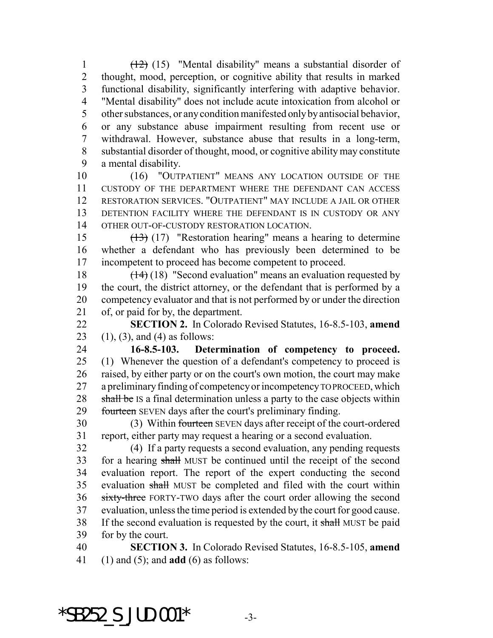(12) (15) "Mental disability" means a substantial disorder of thought, mood, perception, or cognitive ability that results in marked functional disability, significantly interfering with adaptive behavior. "Mental disability" does not include acute intoxication from alcohol or other substances, or any condition manifested only by antisocial behavior, or any substance abuse impairment resulting from recent use or withdrawal. However, substance abuse that results in a long-term, substantial disorder of thought, mood, or cognitive ability may constitute a mental disability.

10 (16) "OUTPATIENT" MEANS ANY LOCATION OUTSIDE OF THE CUSTODY OF THE DEPARTMENT WHERE THE DEFENDANT CAN ACCESS RESTORATION SERVICES. "OUTPATIENT" MAY INCLUDE A JAIL OR OTHER DETENTION FACILITY WHERE THE DEFENDANT IS IN CUSTODY OR ANY OTHER OUT-OF-CUSTODY RESTORATION LOCATION.

 (13) (17) "Restoration hearing" means a hearing to determine whether a defendant who has previously been determined to be incompetent to proceed has become competent to proceed.

18 (14) (18) "Second evaluation" means an evaluation requested by the court, the district attorney, or the defendant that is performed by a competency evaluator and that is not performed by or under the direction of, or paid for by, the department.

 **SECTION 2.** In Colorado Revised Statutes, 16-8.5-103, **amend** 23 (1), (3), and (4) as follows:

 **16-8.5-103. Determination of competency to proceed.** (1) Whenever the question of a defendant's competency to proceed is raised, by either party or on the court's own motion, the court may make a preliminary finding of competency or incompetency TO PROCEED, which 28 shall be IS a final determination unless a party to the case objects within 29 fourteen SEVEN days after the court's preliminary finding.

 (3) Within fourteen SEVEN days after receipt of the court-ordered report, either party may request a hearing or a second evaluation.

 (4) If a party requests a second evaluation, any pending requests for a hearing shall MUST be continued until the receipt of the second evaluation report. The report of the expert conducting the second 35 evaluation shall MUST be completed and filed with the court within sixty-three FORTY-TWO days after the court order allowing the second evaluation, unless the time period is extended by the court for good cause. 38 If the second evaluation is requested by the court, it shall MUST be paid for by the court.

 **SECTION 3.** In Colorado Revised Statutes, 16-8.5-105, **amend** (1) and (5); and **add** (6) as follows:

 $*$ SB252 S JUD.001 $*$  -3-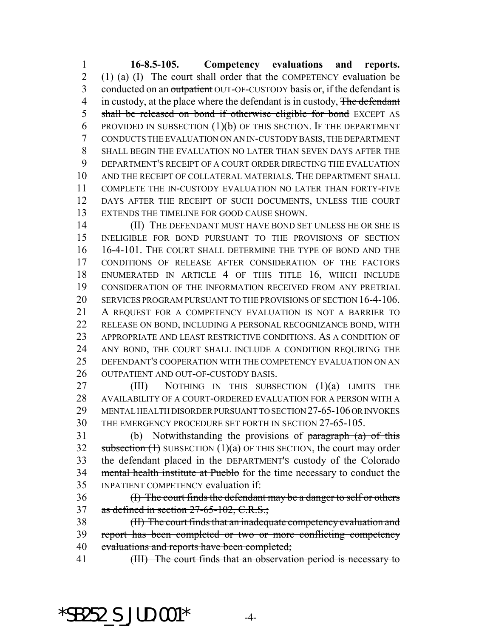**16-8.5-105. Competency evaluations and reports.** (1) (a) (I) The court shall order that the COMPETENCY evaluation be 3 conducted on an outpatient OUT-OF-CUSTODY basis or, if the defendant is 4 in custody, at the place where the defendant is in custody, The defendant 5 shall be released on bond if otherwise eligible for bond EXCEPT AS 6 PROVIDED IN SUBSECTION  $(1)(b)$  OF THIS SECTION. IF THE DEPARTMENT CONDUCTS THE EVALUATION ON AN IN-CUSTODY BASIS, THE DEPARTMENT SHALL BEGIN THE EVALUATION NO LATER THAN SEVEN DAYS AFTER THE DEPARTMENT'S RECEIPT OF A COURT ORDER DIRECTING THE EVALUATION AND THE RECEIPT OF COLLATERAL MATERIALS. THE DEPARTMENT SHALL COMPLETE THE IN-CUSTODY EVALUATION NO LATER THAN FORTY-FIVE DAYS AFTER THE RECEIPT OF SUCH DOCUMENTS, UNLESS THE COURT EXTENDS THE TIMELINE FOR GOOD CAUSE SHOWN.

14 (II) THE DEFENDANT MUST HAVE BOND SET UNLESS HE OR SHE IS INELIGIBLE FOR BOND PURSUANT TO THE PROVISIONS OF SECTION 16-4-101. THE COURT SHALL DETERMINE THE TYPE OF BOND AND THE CONDITIONS OF RELEASE AFTER CONSIDERATION OF THE FACTORS ENUMERATED IN ARTICLE 4 OF THIS TITLE 16, WHICH INCLUDE CONSIDERATION OF THE INFORMATION RECEIVED FROM ANY PRETRIAL SERVICES PROGRAM PURSUANT TO THE PROVISIONS OF SECTION 16-4-106. A REQUEST FOR A COMPETENCY EVALUATION IS NOT A BARRIER TO RELEASE ON BOND, INCLUDING A PERSONAL RECOGNIZANCE BOND, WITH APPROPRIATE AND LEAST RESTRICTIVE CONDITIONS. AS A CONDITION OF ANY BOND, THE COURT SHALL INCLUDE A CONDITION REQUIRING THE DEFENDANT'S COOPERATION WITH THE COMPETENCY EVALUATION ON AN OUTPATIENT AND OUT-OF-CUSTODY BASIS.

 (III) NOTHING IN THIS SUBSECTION (1)(a) LIMITS THE AVAILABILITY OF A COURT-ORDERED EVALUATION FOR A PERSON WITH A MENTAL HEALTH DISORDER PURSUANT TO SECTION 27-65-106 OR INVOKES THE EMERGENCY PROCEDURE SET FORTH IN SECTION 27-65-105.

31 (b) Notwithstanding the provisions of  $\frac{1}{2}$  paragraph (a) of this 32 subsection  $(1)$  SUBSECTION  $(1)(a)$  OF THIS SECTION, the court may order 33 the defendant placed in the DEPARTMENT's custody of the Colorado 34 mental health institute at Pueblo for the time necessary to conduct the INPATIENT COMPETENCY evaluation if:

 (I) The court finds the defendant may be a danger to self or others 37 as defined in section  $27-65-102$ , C.R.S.;

 (II) The court finds that an inadequate competency evaluation and report has been completed or two or more conflicting competency 40 evaluations and reports have been completed;

41 (III) The court finds that an observation period is necessary to

## $*$ SB252 S JUD.001 $*$  -4-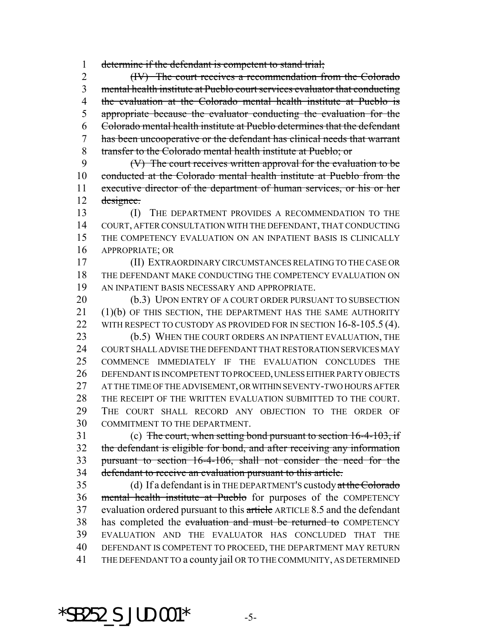determine if the defendant is competent to stand trial;

 (IV) The court receives a recommendation from the Colorado mental health institute at Pueblo court services evaluator that conducting 4 the evaluation at the Colorado mental health institute at Pueblo is appropriate because the evaluator conducting the evaluation for the Colorado mental health institute at Pueblo determines that the defendant has been uncooperative or the defendant has clinical needs that warrant transfer to the Colorado mental health institute at Pueblo; or

 (V) The court receives written approval for the evaluation to be conducted at the Colorado mental health institute at Pueblo from the executive director of the department of human services, or his or her designee.

 (I) THE DEPARTMENT PROVIDES A RECOMMENDATION TO THE COURT, AFTER CONSULTATION WITH THE DEFENDANT, THAT CONDUCTING THE COMPETENCY EVALUATION ON AN INPATIENT BASIS IS CLINICALLY APPROPRIATE; OR

 (II) EXTRAORDINARY CIRCUMSTANCES RELATING TO THE CASE OR THE DEFENDANT MAKE CONDUCTING THE COMPETENCY EVALUATION ON AN INPATIENT BASIS NECESSARY AND APPROPRIATE.

20 (b.3) UPON ENTRY OF A COURT ORDER PURSUANT TO SUBSECTION (1)(b) OF THIS SECTION, THE DEPARTMENT HAS THE SAME AUTHORITY 22 WITH RESPECT TO CUSTODY AS PROVIDED FOR IN SECTION 16-8-105.5 (4).

 (b.5) WHEN THE COURT ORDERS AN INPATIENT EVALUATION, THE COURT SHALL ADVISE THE DEFENDANT THAT RESTORATION SERVICES MAY COMMENCE IMMEDIATELY IF THE EVALUATION CONCLUDES THE DEFENDANT IS INCOMPETENT TO PROCEED, UNLESS EITHER PARTY OBJECTS AT THE TIME OF THE ADVISEMENT, OR WITHIN SEVENTY-TWO HOURS AFTER THE RECEIPT OF THE WRITTEN EVALUATION SUBMITTED TO THE COURT. THE COURT SHALL RECORD ANY OBJECTION TO THE ORDER OF COMMITMENT TO THE DEPARTMENT.

 (c) The court, when setting bond pursuant to section 16-4-103, if the defendant is eligible for bond, and after receiving any information pursuant to section 16-4-106, shall not consider the need for the defendant to receive an evaluation pursuant to this article.

35 (d) If a defendant is in THE DEPARTMENT's custody at the Colorado mental health institute at Pueblo for purposes of the COMPETENCY 37 evaluation ordered pursuant to this article ARTICLE 8.5 and the defendant 38 has completed the evaluation and must be returned to COMPETENCY EVALUATION AND THE EVALUATOR HAS CONCLUDED THAT THE DEFENDANT IS COMPETENT TO PROCEED, THE DEPARTMENT MAY RETURN THE DEFENDANT TO a county jail OR TO THE COMMUNITY, AS DETERMINED

\*SB252 S JUD.001\*  $-5$ -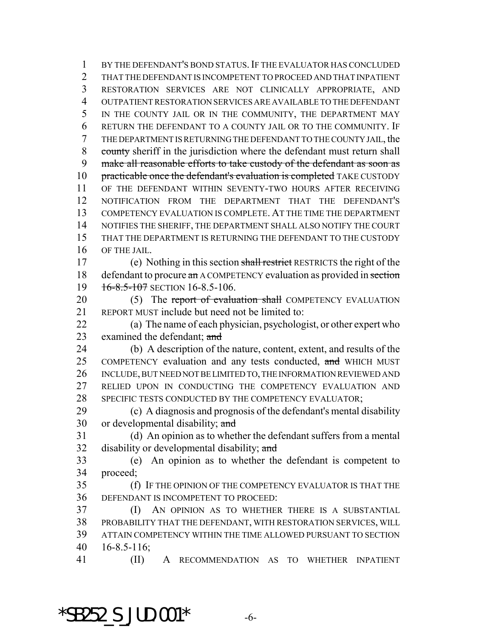BY THE DEFENDANT'S BOND STATUS.IF THE EVALUATOR HAS CONCLUDED THAT THE DEFENDANT IS INCOMPETENT TO PROCEED AND THAT INPATIENT RESTORATION SERVICES ARE NOT CLINICALLY APPROPRIATE, AND OUTPATIENT RESTORATION SERVICES ARE AVAILABLE TO THE DEFENDANT IN THE COUNTY JAIL OR IN THE COMMUNITY, THE DEPARTMENT MAY RETURN THE DEFENDANT TO A COUNTY JAIL OR TO THE COMMUNITY. IF THE DEPARTMENT IS RETURNING THE DEFENDANT TO THE COUNTY JAIL, the county sheriff in the jurisdiction where the defendant must return shall make all reasonable efforts to take custody of the defendant as soon as 10 practicable once the defendant's evaluation is completed TAKE CUSTODY OF THE DEFENDANT WITHIN SEVENTY-TWO HOURS AFTER RECEIVING NOTIFICATION FROM THE DEPARTMENT THAT THE DEFENDANT'S COMPETENCY EVALUATION IS COMPLETE. AT THE TIME THE DEPARTMENT NOTIFIES THE SHERIFF, THE DEPARTMENT SHALL ALSO NOTIFY THE COURT THAT THE DEPARTMENT IS RETURNING THE DEFENDANT TO THE CUSTODY OF THE JAIL. (e) Nothing in this section shall restrict RESTRICTS the right of the 18 defendant to procure an A COMPETENCY evaluation as provided in section

19 16-8.5-107 SECTION 16-8.5-106.

20 (5) The report of evaluation shall COMPETENCY EVALUATION REPORT MUST include but need not be limited to:

 (a) The name of each physician, psychologist, or other expert who examined the defendant; and

 (b) A description of the nature, content, extent, and results of the 25 COMPETENCY evaluation and any tests conducted, and WHICH MUST INCLUDE, BUT NEED NOT BE LIMITED TO, THE INFORMATION REVIEWED AND RELIED UPON IN CONDUCTING THE COMPETENCY EVALUATION AND 28 SPECIFIC TESTS CONDUCTED BY THE COMPETENCY EVALUATOR;

 (c) A diagnosis and prognosis of the defendant's mental disability 30 or developmental disability; and

 (d) An opinion as to whether the defendant suffers from a mental 32 disability or developmental disability; and

 (e) An opinion as to whether the defendant is competent to proceed;

 (f) IF THE OPINION OF THE COMPETENCY EVALUATOR IS THAT THE DEFENDANT IS INCOMPETENT TO PROCEED:

 (I) AN OPINION AS TO WHETHER THERE IS A SUBSTANTIAL PROBABILITY THAT THE DEFENDANT, WITH RESTORATION SERVICES, WILL ATTAIN COMPETENCY WITHIN THE TIME ALLOWED PURSUANT TO SECTION 16-8.5-116;

(II) A RECOMMENDATION AS TO WHETHER INPATIENT

 $*$ SB252 S JUD.001 $*$  -6-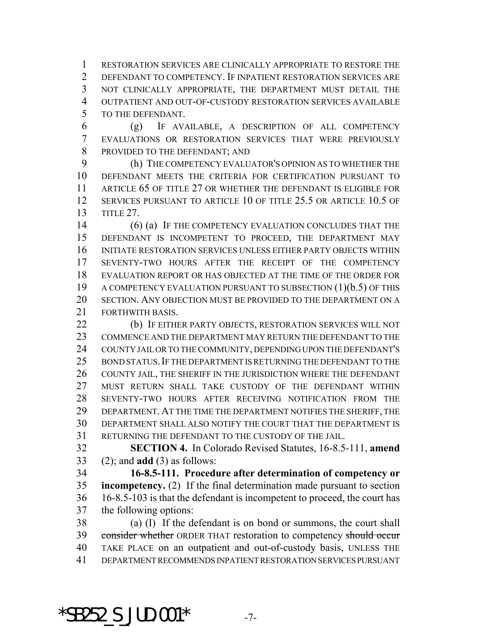RESTORATION SERVICES ARE CLINICALLY APPROPRIATE TO RESTORE THE DEFENDANT TO COMPETENCY. IF INPATIENT RESTORATION SERVICES ARE NOT CLINICALLY APPROPRIATE, THE DEPARTMENT MUST DETAIL THE OUTPATIENT AND OUT-OF-CUSTODY RESTORATION SERVICES AVAILABLE TO THE DEFENDANT.

 (g) IF AVAILABLE, A DESCRIPTION OF ALL COMPETENCY EVALUATIONS OR RESTORATION SERVICES THAT WERE PREVIOUSLY PROVIDED TO THE DEFENDANT; AND

 (h) THE COMPETENCY EVALUATOR'S OPINION AS TO WHETHER THE DEFENDANT MEETS THE CRITERIA FOR CERTIFICATION PURSUANT TO ARTICLE 65 OF TITLE 27 OR WHETHER THE DEFENDANT IS ELIGIBLE FOR SERVICES PURSUANT TO ARTICLE 10 OF TITLE 25.5 OR ARTICLE 10.5 OF TITLE 27.

14 (6) (a) IF THE COMPETENCY EVALUATION CONCLUDES THAT THE DEFENDANT IS INCOMPETENT TO PROCEED, THE DEPARTMENT MAY INITIATE RESTORATION SERVICES UNLESS EITHER PARTY OBJECTS WITHIN SEVENTY-TWO HOURS AFTER THE RECEIPT OF THE COMPETENCY EVALUATION REPORT OR HAS OBJECTED AT THE TIME OF THE ORDER FOR 19 A COMPETENCY EVALUATION PURSUANT TO SUBSECTION (1)(b.5) OF THIS SECTION. ANY OBJECTION MUST BE PROVIDED TO THE DEPARTMENT ON A FORTHWITH BASIS.

 (b) IF EITHER PARTY OBJECTS, RESTORATION SERVICES WILL NOT COMMENCE AND THE DEPARTMENT MAY RETURN THE DEFENDANT TO THE COUNTY JAIL OR TO THE COMMUNITY, DEPENDING UPON THE DEFENDANT'S 25 BOND STATUS. IF THE DEPARTMENT IS RETURNING THE DEFENDANT TO THE COUNTY JAIL, THE SHERIFF IN THE JURISDICTION WHERE THE DEFENDANT 27 MUST RETURN SHALL TAKE CUSTODY OF THE DEFENDANT WITHIN SEVENTY-TWO HOURS AFTER RECEIVING NOTIFICATION FROM THE DEPARTMENT.AT THE TIME THE DEPARTMENT NOTIFIES THE SHERIFF, THE DEPARTMENT SHALL ALSO NOTIFY THE COURT THAT THE DEPARTMENT IS RETURNING THE DEFENDANT TO THE CUSTODY OF THE JAIL.

 **SECTION 4.** In Colorado Revised Statutes, 16-8.5-111, **amend** (2); and **add** (3) as follows:

 **16-8.5-111. Procedure after determination of competency or incompetency.** (2) If the final determination made pursuant to section 16-8.5-103 is that the defendant is incompetent to proceed, the court has the following options:

 (a) (I) If the defendant is on bond or summons, the court shall 39 consider whether ORDER THAT restoration to competency should occur TAKE PLACE on an outpatient and out-of-custody basis, UNLESS THE DEPARTMENT RECOMMENDS INPATIENT RESTORATION SERVICES PURSUANT

\*SB252 S JUD.001\*  $-7-$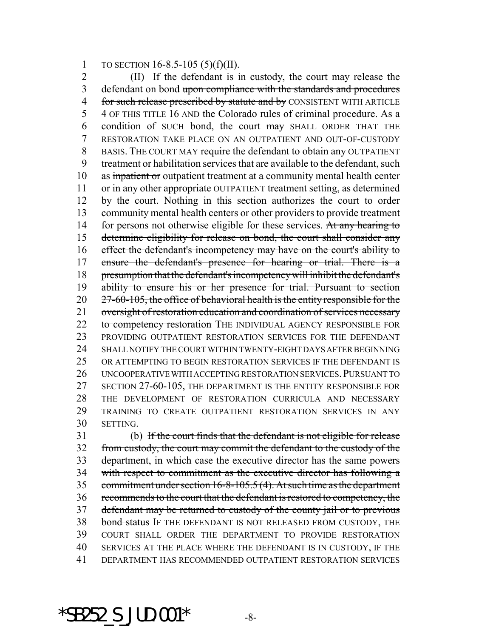1 TO SECTION 16-8.5-105 (5)(f)(II).

 (II) If the defendant is in custody, the court may release the 3 defendant on bond upon compliance with the standards and procedures 4 for such release prescribed by statute and by CONSISTENT WITH ARTICLE 4 OF THIS TITLE 16 AND the Colorado rules of criminal procedure. As a 6 condition of SUCH bond, the court  $\frac{m}{w}$  SHALL ORDER THAT THE RESTORATION TAKE PLACE ON AN OUTPATIENT AND OUT-OF-CUSTODY BASIS. THE COURT MAY require the defendant to obtain any OUTPATIENT treatment or habilitation services that are available to the defendant, such 10 as inpatient or outpatient treatment at a community mental health center or in any other appropriate OUTPATIENT treatment setting, as determined by the court. Nothing in this section authorizes the court to order community mental health centers or other providers to provide treatment 14 for persons not otherwise eligible for these services. At any hearing to determine eligibility for release on bond, the court shall consider any effect the defendant's incompetency may have on the court's ability to ensure the defendant's presence for hearing or trial. There is a presumption that the defendant's incompetency will inhibit the defendant's 19 ability to ensure his or her presence for trial. Pursuant to section 20 27-60-105, the office of behavioral health is the entity responsible for the 21 oversight of restoration education and coordination of services necessary 22 to competency restoration THE INDIVIDUAL AGENCY RESPONSIBLE FOR PROVIDING OUTPATIENT RESTORATION SERVICES FOR THE DEFENDANT SHALL NOTIFY THE COURT WITHIN TWENTY-EIGHT DAYS AFTER BEGINNING OR ATTEMPTING TO BEGIN RESTORATION SERVICES IF THE DEFENDANT IS UNCOOPERATIVE WITH ACCEPTING RESTORATION SERVICES.PURSUANT TO SECTION 27-60-105, THE DEPARTMENT IS THE ENTITY RESPONSIBLE FOR THE DEVELOPMENT OF RESTORATION CURRICULA AND NECESSARY TRAINING TO CREATE OUTPATIENT RESTORATION SERVICES IN ANY SETTING.

 (b) If the court finds that the defendant is not eligible for release from custody, the court may commit the defendant to the custody of the department, in which case the executive director has the same powers with respect to commitment as the executive director has following a commitment under section 16-8-105.5 (4). At such time as the department recommends to the court that the defendant is restored to competency, the defendant may be returned to custody of the county jail or to previous 38 bond status IF THE DEFENDANT IS NOT RELEASED FROM CUSTODY, THE COURT SHALL ORDER THE DEPARTMENT TO PROVIDE RESTORATION SERVICES AT THE PLACE WHERE THE DEFENDANT IS IN CUSTODY, IF THE DEPARTMENT HAS RECOMMENDED OUTPATIENT RESTORATION SERVICES

 $*$ SB252 S JUD.001 $*$  -8-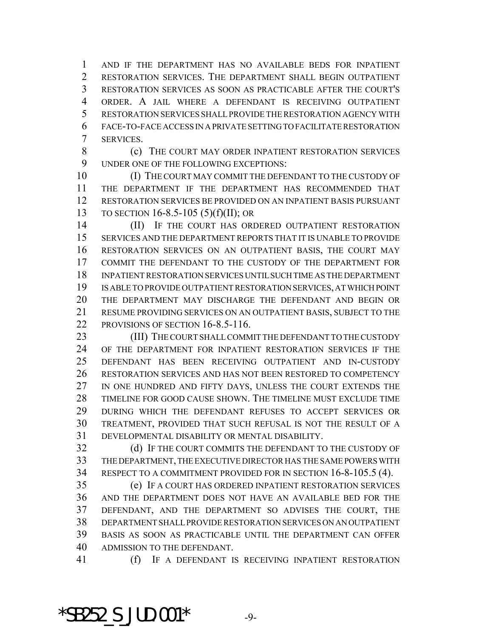AND IF THE DEPARTMENT HAS NO AVAILABLE BEDS FOR INPATIENT RESTORATION SERVICES. THE DEPARTMENT SHALL BEGIN OUTPATIENT RESTORATION SERVICES AS SOON AS PRACTICABLE AFTER THE COURT'S ORDER. A JAIL WHERE A DEFENDANT IS RECEIVING OUTPATIENT RESTORATION SERVICES SHALL PROVIDE THE RESTORATION AGENCY WITH FACE-TO-FACE ACCESS IN A PRIVATE SETTING TO FACILITATE RESTORATION SERVICES.

**(c)** THE COURT MAY ORDER INPATIENT RESTORATION SERVICES UNDER ONE OF THE FOLLOWING EXCEPTIONS:

 (I) THE COURT MAY COMMIT THE DEFENDANT TO THE CUSTODY OF THE DEPARTMENT IF THE DEPARTMENT HAS RECOMMENDED THAT RESTORATION SERVICES BE PROVIDED ON AN INPATIENT BASIS PURSUANT TO SECTION 16-8.5-105 (5)(f)(II); OR

14 (II) IF THE COURT HAS ORDERED OUTPATIENT RESTORATION SERVICES AND THE DEPARTMENT REPORTS THAT IT IS UNABLE TO PROVIDE RESTORATION SERVICES ON AN OUTPATIENT BASIS, THE COURT MAY COMMIT THE DEFENDANT TO THE CUSTODY OF THE DEPARTMENT FOR INPATIENT RESTORATION SERVICES UNTIL SUCH TIME AS THE DEPARTMENT IS ABLE TO PROVIDE OUTPATIENT RESTORATION SERVICES, AT WHICH POINT THE DEPARTMENT MAY DISCHARGE THE DEFENDANT AND BEGIN OR RESUME PROVIDING SERVICES ON AN OUTPATIENT BASIS, SUBJECT TO THE 22 PROVISIONS OF SECTION 16-8.5-116.

23 (III) THE COURT SHALL COMMIT THE DEFENDANT TO THE CUSTODY OF THE DEPARTMENT FOR INPATIENT RESTORATION SERVICES IF THE DEFENDANT HAS BEEN RECEIVING OUTPATIENT AND IN-CUSTODY RESTORATION SERVICES AND HAS NOT BEEN RESTORED TO COMPETENCY 27 IN ONE HUNDRED AND FIFTY DAYS, UNLESS THE COURT EXTENDS THE TIMELINE FOR GOOD CAUSE SHOWN. THE TIMELINE MUST EXCLUDE TIME DURING WHICH THE DEFENDANT REFUSES TO ACCEPT SERVICES OR TREATMENT, PROVIDED THAT SUCH REFUSAL IS NOT THE RESULT OF A DEVELOPMENTAL DISABILITY OR MENTAL DISABILITY.

32 (d) IF THE COURT COMMITS THE DEFENDANT TO THE CUSTODY OF THE DEPARTMENT, THE EXECUTIVE DIRECTOR HAS THE SAME POWERS WITH RESPECT TO A COMMITMENT PROVIDED FOR IN SECTION 16-8-105.5 (4).

 (e) IF A COURT HAS ORDERED INPATIENT RESTORATION SERVICES AND THE DEPARTMENT DOES NOT HAVE AN AVAILABLE BED FOR THE DEFENDANT, AND THE DEPARTMENT SO ADVISES THE COURT, THE DEPARTMENT SHALL PROVIDE RESTORATION SERVICES ON AN OUTPATIENT BASIS AS SOON AS PRACTICABLE UNTIL THE DEPARTMENT CAN OFFER ADMISSION TO THE DEFENDANT.

(f) IF A DEFENDANT IS RECEIVING INPATIENT RESTORATION

 $*$ SB252 S JUD.001 $*$  -9-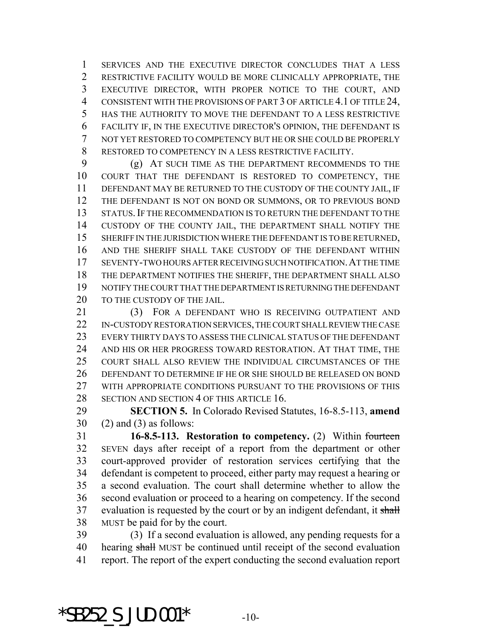SERVICES AND THE EXECUTIVE DIRECTOR CONCLUDES THAT A LESS RESTRICTIVE FACILITY WOULD BE MORE CLINICALLY APPROPRIATE, THE EXECUTIVE DIRECTOR, WITH PROPER NOTICE TO THE COURT, AND 4 CONSISTENT WITH THE PROVISIONS OF PART 3 OF ARTICLE 4.1 OF TITLE 24, HAS THE AUTHORITY TO MOVE THE DEFENDANT TO A LESS RESTRICTIVE FACILITY IF, IN THE EXECUTIVE DIRECTOR'S OPINION, THE DEFENDANT IS NOT YET RESTORED TO COMPETENCY BUT HE OR SHE COULD BE PROPERLY RESTORED TO COMPETENCY IN A LESS RESTRICTIVE FACILITY.

 (g) AT SUCH TIME AS THE DEPARTMENT RECOMMENDS TO THE COURT THAT THE DEFENDANT IS RESTORED TO COMPETENCY, THE DEFENDANT MAY BE RETURNED TO THE CUSTODY OF THE COUNTY JAIL, IF THE DEFENDANT IS NOT ON BOND OR SUMMONS, OR TO PREVIOUS BOND STATUS.IF THE RECOMMENDATION IS TO RETURN THE DEFENDANT TO THE CUSTODY OF THE COUNTY JAIL, THE DEPARTMENT SHALL NOTIFY THE 15 SHERIFF IN THE JURISDICTION WHERE THE DEFENDANT IS TO BE RETURNED, AND THE SHERIFF SHALL TAKE CUSTODY OF THE DEFENDANT WITHIN SEVENTY-TWO HOURS AFTER RECEIVING SUCH NOTIFICATION.AT THE TIME THE DEPARTMENT NOTIFIES THE SHERIFF, THE DEPARTMENT SHALL ALSO NOTIFY THE COURT THAT THE DEPARTMENT IS RETURNING THE DEFENDANT 20 TO THE CUSTODY OF THE JAIL.

21 (3) FOR A DEFENDANT WHO IS RECEIVING OUTPATIENT AND IN-CUSTODY RESTORATION SERVICES, THE COURT SHALL REVIEW THE CASE EVERY THIRTY DAYS TO ASSESS THE CLINICAL STATUS OF THE DEFENDANT AND HIS OR HER PROGRESS TOWARD RESTORATION. AT THAT TIME, THE COURT SHALL ALSO REVIEW THE INDIVIDUAL CIRCUMSTANCES OF THE DEFENDANT TO DETERMINE IF HE OR SHE SHOULD BE RELEASED ON BOND WITH APPROPRIATE CONDITIONS PURSUANT TO THE PROVISIONS OF THIS 28 SECTION AND SECTION 4 OF THIS ARTICLE 16.

 **SECTION 5.** In Colorado Revised Statutes, 16-8.5-113, **amend** (2) and (3) as follows:

 **16-8.5-113. Restoration to competency.** (2) Within fourteen SEVEN days after receipt of a report from the department or other court-approved provider of restoration services certifying that the defendant is competent to proceed, either party may request a hearing or a second evaluation. The court shall determine whether to allow the second evaluation or proceed to a hearing on competency. If the second 37 evaluation is requested by the court or by an indigent defendant, it shall MUST be paid for by the court.

 (3) If a second evaluation is allowed, any pending requests for a 40 hearing shall MUST be continued until receipt of the second evaluation report. The report of the expert conducting the second evaluation report

\*SB252 S JUD.001\*  $-10-$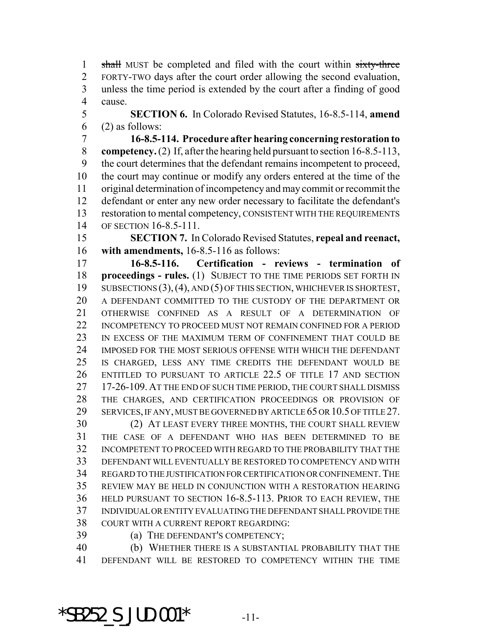1 shall MUST be completed and filed with the court within sixty-three FORTY-TWO days after the court order allowing the second evaluation, unless the time period is extended by the court after a finding of good cause.

 **SECTION 6.** In Colorado Revised Statutes, 16-8.5-114, **amend** (2) as follows:

 **16-8.5-114. Procedure after hearing concerning restoration to competency.** (2) If, after the hearing held pursuant to section 16-8.5-113, the court determines that the defendant remains incompetent to proceed, the court may continue or modify any orders entered at the time of the original determination of incompetency and may commit or recommit the defendant or enter any new order necessary to facilitate the defendant's restoration to mental competency, CONSISTENT WITH THE REQUIREMENTS OF SECTION 16-8.5-111.

 **SECTION 7.** In Colorado Revised Statutes, **repeal and reenact, with amendments,** 16-8.5-116 as follows:

 **16-8.5-116. Certification - reviews - termination of proceedings - rules.** (1) SUBJECT TO THE TIME PERIODS SET FORTH IN SUBSECTIONS (3),(4), AND (5) OF THIS SECTION, WHICHEVER IS SHORTEST, A DEFENDANT COMMITTED TO THE CUSTODY OF THE DEPARTMENT OR OTHERWISE CONFINED AS A RESULT OF A DETERMINATION OF INCOMPETENCY TO PROCEED MUST NOT REMAIN CONFINED FOR A PERIOD 23 IN EXCESS OF THE MAXIMUM TERM OF CONFINEMENT THAT COULD BE IMPOSED FOR THE MOST SERIOUS OFFENSE WITH WHICH THE DEFENDANT IS CHARGED, LESS ANY TIME CREDITS THE DEFENDANT WOULD BE ENTITLED TO PURSUANT TO ARTICLE 22.5 OF TITLE 17 AND SECTION 17-26-109. AT THE END OF SUCH TIME PERIOD, THE COURT SHALL DISMISS THE CHARGES, AND CERTIFICATION PROCEEDINGS OR PROVISION OF SERVICES, IF ANY, MUST BE GOVERNED BY ARTICLE 65 OR 10.5 OF TITLE 27. (2) AT LEAST EVERY THREE MONTHS, THE COURT SHALL REVIEW THE CASE OF A DEFENDANT WHO HAS BEEN DETERMINED TO BE INCOMPETENT TO PROCEED WITH REGARD TO THE PROBABILITY THAT THE

 DEFENDANT WILL EVENTUALLY BE RESTORED TO COMPETENCY AND WITH REGARD TO THE JUSTIFICATION FOR CERTIFICATION OR CONFINEMENT.THE REVIEW MAY BE HELD IN CONJUNCTION WITH A RESTORATION HEARING HELD PURSUANT TO SECTION 16-8.5-113. PRIOR TO EACH REVIEW, THE INDIVIDUAL OR ENTITY EVALUATING THE DEFENDANT SHALL PROVIDE THE COURT WITH A CURRENT REPORT REGARDING:

(a) THE DEFENDANT'S COMPETENCY;

 (b) WHETHER THERE IS A SUBSTANTIAL PROBABILITY THAT THE DEFENDANT WILL BE RESTORED TO COMPETENCY WITHIN THE TIME

\*SB252 S JUD.001\*  $-11$ -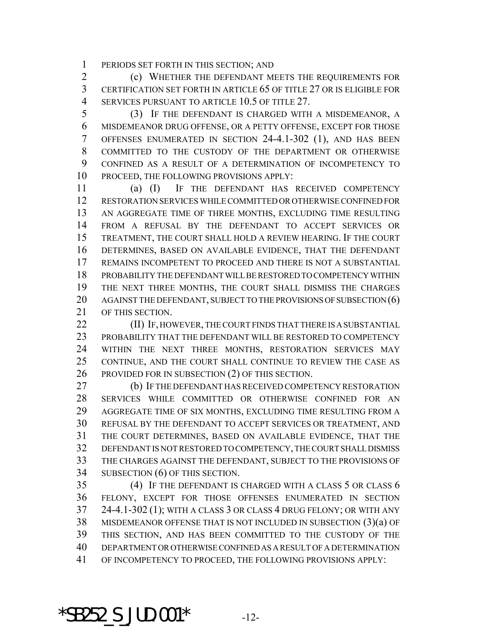PERIODS SET FORTH IN THIS SECTION; AND

 (c) WHETHER THE DEFENDANT MEETS THE REQUIREMENTS FOR CERTIFICATION SET FORTH IN ARTICLE 65 OF TITLE 27 OR IS ELIGIBLE FOR 4 SERVICES PURSUANT TO ARTICLE 10.5 OF TITLE 27.

 (3) IF THE DEFENDANT IS CHARGED WITH A MISDEMEANOR, A MISDEMEANOR DRUG OFFENSE, OR A PETTY OFFENSE, EXCEPT FOR THOSE OFFENSES ENUMERATED IN SECTION 24-4.1-302 (1), AND HAS BEEN COMMITTED TO THE CUSTODY OF THE DEPARTMENT OR OTHERWISE CONFINED AS A RESULT OF A DETERMINATION OF INCOMPETENCY TO PROCEED, THE FOLLOWING PROVISIONS APPLY:

 (a) (I) IF THE DEFENDANT HAS RECEIVED COMPETENCY RESTORATION SERVICES WHILE COMMITTED OR OTHERWISE CONFINED FOR AN AGGREGATE TIME OF THREE MONTHS, EXCLUDING TIME RESULTING FROM A REFUSAL BY THE DEFENDANT TO ACCEPT SERVICES OR TREATMENT, THE COURT SHALL HOLD A REVIEW HEARING. IF THE COURT DETERMINES, BASED ON AVAILABLE EVIDENCE, THAT THE DEFENDANT REMAINS INCOMPETENT TO PROCEED AND THERE IS NOT A SUBSTANTIAL PROBABILITY THE DEFENDANT WILL BE RESTORED TO COMPETENCY WITHIN THE NEXT THREE MONTHS, THE COURT SHALL DISMISS THE CHARGES 20 AGAINST THE DEFENDANT, SUBJECT TO THE PROVISIONS OF SUBSECTION (6) OF THIS SECTION.

**(II) IF, HOWEVER, THE COURT FINDS THAT THERE IS A SUBSTANTIAL**  PROBABILITY THAT THE DEFENDANT WILL BE RESTORED TO COMPETENCY WITHIN THE NEXT THREE MONTHS, RESTORATION SERVICES MAY CONTINUE, AND THE COURT SHALL CONTINUE TO REVIEW THE CASE AS PROVIDED FOR IN SUBSECTION (2) OF THIS SECTION.

 (b) IF THE DEFENDANT HAS RECEIVED COMPETENCY RESTORATION SERVICES WHILE COMMITTED OR OTHERWISE CONFINED FOR AN AGGREGATE TIME OF SIX MONTHS, EXCLUDING TIME RESULTING FROM A REFUSAL BY THE DEFENDANT TO ACCEPT SERVICES OR TREATMENT, AND THE COURT DETERMINES, BASED ON AVAILABLE EVIDENCE, THAT THE DEFENDANT IS NOT RESTORED TO COMPETENCY, THE COURT SHALL DISMISS THE CHARGES AGAINST THE DEFENDANT, SUBJECT TO THE PROVISIONS OF SUBSECTION (6) OF THIS SECTION.

 (4) IF THE DEFENDANT IS CHARGED WITH A CLASS 5 OR CLASS 6 FELONY, EXCEPT FOR THOSE OFFENSES ENUMERATED IN SECTION 24-4.1-302 (1); WITH A CLASS 3 OR CLASS 4 DRUG FELONY; OR WITH ANY MISDEMEANOR OFFENSE THAT IS NOT INCLUDED IN SUBSECTION (3)(a) OF THIS SECTION, AND HAS BEEN COMMITTED TO THE CUSTODY OF THE DEPARTMENT OR OTHERWISE CONFINED AS A RESULT OF A DETERMINATION OF INCOMPETENCY TO PROCEED, THE FOLLOWING PROVISIONS APPLY:

\*SB252 S JUD.001\*  $-12$ -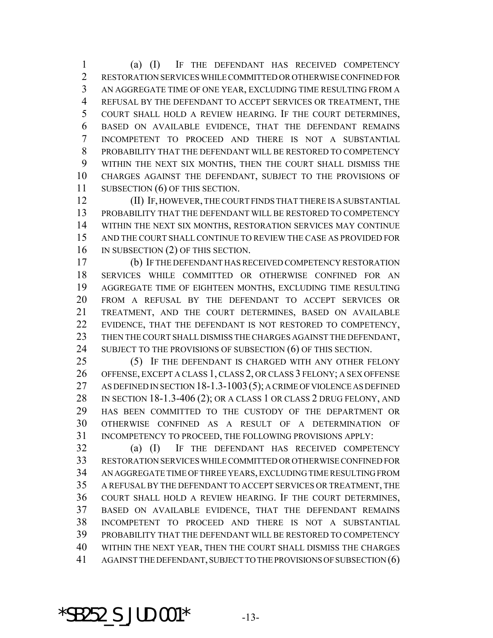(a) (I) IF THE DEFENDANT HAS RECEIVED COMPETENCY RESTORATION SERVICES WHILE COMMITTED OR OTHERWISE CONFINED FOR AN AGGREGATE TIME OF ONE YEAR, EXCLUDING TIME RESULTING FROM A REFUSAL BY THE DEFENDANT TO ACCEPT SERVICES OR TREATMENT, THE COURT SHALL HOLD A REVIEW HEARING. IF THE COURT DETERMINES, BASED ON AVAILABLE EVIDENCE, THAT THE DEFENDANT REMAINS INCOMPETENT TO PROCEED AND THERE IS NOT A SUBSTANTIAL PROBABILITY THAT THE DEFENDANT WILL BE RESTORED TO COMPETENCY WITHIN THE NEXT SIX MONTHS, THEN THE COURT SHALL DISMISS THE CHARGES AGAINST THE DEFENDANT, SUBJECT TO THE PROVISIONS OF 11 SUBSECTION (6) OF THIS SECTION.

 (II) IF, HOWEVER, THE COURT FINDS THAT THERE IS A SUBSTANTIAL PROBABILITY THAT THE DEFENDANT WILL BE RESTORED TO COMPETENCY WITHIN THE NEXT SIX MONTHS, RESTORATION SERVICES MAY CONTINUE AND THE COURT SHALL CONTINUE TO REVIEW THE CASE AS PROVIDED FOR 16 IN SUBSECTION (2) OF THIS SECTION.

 (b) IF THE DEFENDANT HAS RECEIVED COMPETENCY RESTORATION SERVICES WHILE COMMITTED OR OTHERWISE CONFINED FOR AN AGGREGATE TIME OF EIGHTEEN MONTHS, EXCLUDING TIME RESULTING FROM A REFUSAL BY THE DEFENDANT TO ACCEPT SERVICES OR TREATMENT, AND THE COURT DETERMINES, BASED ON AVAILABLE 22 EVIDENCE, THAT THE DEFENDANT IS NOT RESTORED TO COMPETENCY, 23 THEN THE COURT SHALL DISMISS THE CHARGES AGAINST THE DEFENDANT, 24 SUBJECT TO THE PROVISIONS OF SUBSECTION (6) OF THIS SECTION.

 (5) IF THE DEFENDANT IS CHARGED WITH ANY OTHER FELONY OFFENSE, EXCEPT A CLASS 1, CLASS 2, OR CLASS 3 FELONY; A SEX OFFENSE AS DEFINED IN SECTION 18-1.3-1003(5); A CRIME OF VIOLENCE AS DEFINED 28 IN SECTION 18-1.3-406 (2); OR A CLASS 1 OR CLASS 2 DRUG FELONY, AND HAS BEEN COMMITTED TO THE CUSTODY OF THE DEPARTMENT OR OTHERWISE CONFINED AS A RESULT OF A DETERMINATION OF INCOMPETENCY TO PROCEED, THE FOLLOWING PROVISIONS APPLY:

 (a) (I) IF THE DEFENDANT HAS RECEIVED COMPETENCY RESTORATION SERVICES WHILE COMMITTED OR OTHERWISE CONFINED FOR AN AGGREGATE TIME OF THREE YEARS, EXCLUDING TIME RESULTING FROM A REFUSAL BY THE DEFENDANT TO ACCEPT SERVICES OR TREATMENT, THE COURT SHALL HOLD A REVIEW HEARING. IF THE COURT DETERMINES, BASED ON AVAILABLE EVIDENCE, THAT THE DEFENDANT REMAINS INCOMPETENT TO PROCEED AND THERE IS NOT A SUBSTANTIAL PROBABILITY THAT THE DEFENDANT WILL BE RESTORED TO COMPETENCY WITHIN THE NEXT YEAR, THEN THE COURT SHALL DISMISS THE CHARGES 41 AGAINST THE DEFENDANT, SUBJECT TO THE PROVISIONS OF SUBSECTION (6)

\*SB252 S JUD.001\*  $-13-$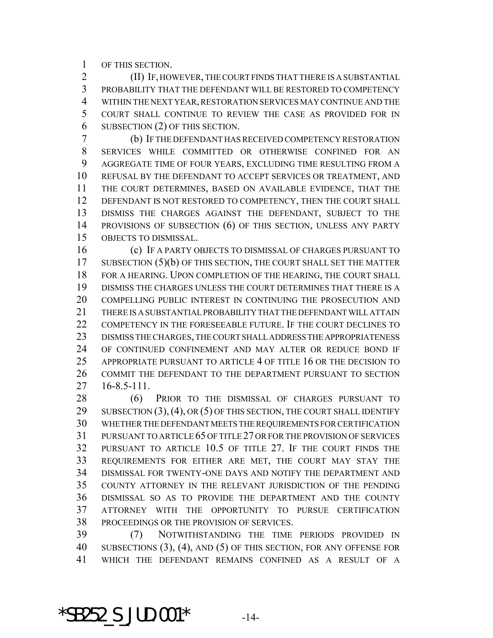OF THIS SECTION.

 (II) IF, HOWEVER, THE COURT FINDS THAT THERE IS A SUBSTANTIAL PROBABILITY THAT THE DEFENDANT WILL BE RESTORED TO COMPETENCY WITHIN THE NEXT YEAR, RESTORATION SERVICES MAY CONTINUE AND THE COURT SHALL CONTINUE TO REVIEW THE CASE AS PROVIDED FOR IN SUBSECTION (2) OF THIS SECTION.

 (b) IF THE DEFENDANT HAS RECEIVED COMPETENCY RESTORATION SERVICES WHILE COMMITTED OR OTHERWISE CONFINED FOR AN AGGREGATE TIME OF FOUR YEARS, EXCLUDING TIME RESULTING FROM A REFUSAL BY THE DEFENDANT TO ACCEPT SERVICES OR TREATMENT, AND THE COURT DETERMINES, BASED ON AVAILABLE EVIDENCE, THAT THE DEFENDANT IS NOT RESTORED TO COMPETENCY, THEN THE COURT SHALL DISMISS THE CHARGES AGAINST THE DEFENDANT, SUBJECT TO THE PROVISIONS OF SUBSECTION (6) OF THIS SECTION, UNLESS ANY PARTY OBJECTS TO DISMISSAL.

 (c) IF A PARTY OBJECTS TO DISMISSAL OF CHARGES PURSUANT TO 17 SUBSECTION (5)(b) OF THIS SECTION, THE COURT SHALL SET THE MATTER FOR A HEARING. UPON COMPLETION OF THE HEARING, THE COURT SHALL DISMISS THE CHARGES UNLESS THE COURT DETERMINES THAT THERE IS A COMPELLING PUBLIC INTEREST IN CONTINUING THE PROSECUTION AND THERE IS A SUBSTANTIAL PROBABILITY THAT THE DEFENDANT WILL ATTAIN 22 COMPETENCY IN THE FORESEEABLE FUTURE. IF THE COURT DECLINES TO DISMISS THE CHARGES, THE COURT SHALL ADDRESS THE APPROPRIATENESS OF CONTINUED CONFINEMENT AND MAY ALTER OR REDUCE BOND IF APPROPRIATE PURSUANT TO ARTICLE 4 OF TITLE 16 OR THE DECISION TO COMMIT THE DEFENDANT TO THE DEPARTMENT PURSUANT TO SECTION 16-8.5-111.

 (6) PRIOR TO THE DISMISSAL OF CHARGES PURSUANT TO 29 SUBSECTION (3), (4), OR (5) OF THIS SECTION, THE COURT SHALL IDENTIFY WHETHER THE DEFENDANT MEETS THE REQUIREMENTS FOR CERTIFICATION PURSUANT TO ARTICLE 65 OF TITLE 27 OR FOR THE PROVISION OF SERVICES PURSUANT TO ARTICLE 10.5 OF TITLE 27. IF THE COURT FINDS THE REQUIREMENTS FOR EITHER ARE MET, THE COURT MAY STAY THE DISMISSAL FOR TWENTY-ONE DAYS AND NOTIFY THE DEPARTMENT AND COUNTY ATTORNEY IN THE RELEVANT JURISDICTION OF THE PENDING DISMISSAL SO AS TO PROVIDE THE DEPARTMENT AND THE COUNTY ATTORNEY WITH THE OPPORTUNITY TO PURSUE CERTIFICATION PROCEEDINGS OR THE PROVISION OF SERVICES.

 (7) NOTWITHSTANDING THE TIME PERIODS PROVIDED IN SUBSECTIONS (3), (4), AND (5) OF THIS SECTION, FOR ANY OFFENSE FOR WHICH THE DEFENDANT REMAINS CONFINED AS A RESULT OF A

\*SB252 S JUD.001\*  $-14$ -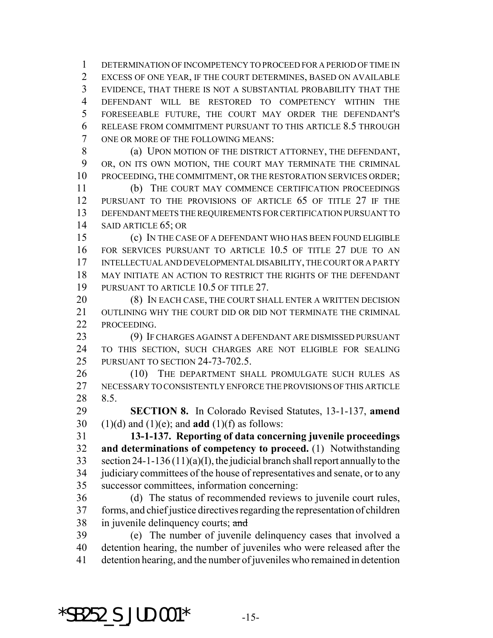DETERMINATION OF INCOMPETENCY TO PROCEED FOR A PERIOD OF TIME IN EXCESS OF ONE YEAR, IF THE COURT DETERMINES, BASED ON AVAILABLE EVIDENCE, THAT THERE IS NOT A SUBSTANTIAL PROBABILITY THAT THE DEFENDANT WILL BE RESTORED TO COMPETENCY WITHIN THE FORESEEABLE FUTURE, THE COURT MAY ORDER THE DEFENDANT'S RELEASE FROM COMMITMENT PURSUANT TO THIS ARTICLE 8.5 THROUGH ONE OR MORE OF THE FOLLOWING MEANS:

8 (a) UPON MOTION OF THE DISTRICT ATTORNEY, THE DEFENDANT, OR, ON ITS OWN MOTION, THE COURT MAY TERMINATE THE CRIMINAL PROCEEDING, THE COMMITMENT, OR THE RESTORATION SERVICES ORDER;

 (b) THE COURT MAY COMMENCE CERTIFICATION PROCEEDINGS 12 PURSUANT TO THE PROVISIONS OF ARTICLE 65 OF TITLE 27 IF THE DEFENDANT MEETS THE REQUIREMENTS FOR CERTIFICATION PURSUANT TO SAID ARTICLE 65; OR

 (c) IN THE CASE OF A DEFENDANT WHO HAS BEEN FOUND ELIGIBLE FOR SERVICES PURSUANT TO ARTICLE 10.5 OF TITLE 27 DUE TO AN INTELLECTUAL AND DEVELOPMENTAL DISABILITY, THE COURT OR A PARTY MAY INITIATE AN ACTION TO RESTRICT THE RIGHTS OF THE DEFENDANT PURSUANT TO ARTICLE 10.5 OF TITLE 27.

20 (8) IN EACH CASE, THE COURT SHALL ENTER A WRITTEN DECISION 21 OUTLINING WHY THE COURT DID OR DID NOT TERMINATE THE CRIMINAL PROCEEDING.

 (9) IF CHARGES AGAINST A DEFENDANT ARE DISMISSED PURSUANT TO THIS SECTION, SUCH CHARGES ARE NOT ELIGIBLE FOR SEALING PURSUANT TO SECTION 24-73-702.5.

26 (10) THE DEPARTMENT SHALL PROMULGATE SUCH RULES AS NECESSARY TO CONSISTENTLY ENFORCE THE PROVISIONS OF THIS ARTICLE 8.5.

 **SECTION 8.** In Colorado Revised Statutes, 13-1-137, **amend** (1)(d) and (1)(e); and **add** (1)(f) as follows:

 **13-1-137. Reporting of data concerning juvenile proceedings and determinations of competency to proceed.** (1) Notwithstanding section 24-1-136 (11)(a)(I), the judicial branch shall report annually to the judiciary committees of the house of representatives and senate, or to any successor committees, information concerning:

 (d) The status of recommended reviews to juvenile court rules, forms, and chief justice directives regarding the representation of children 38 in juvenile delinquency courts; and

 (e) The number of juvenile delinquency cases that involved a detention hearing, the number of juveniles who were released after the detention hearing, and the number of juveniles who remained in detention

\*SB252 S JUD.001\*  $-15$ -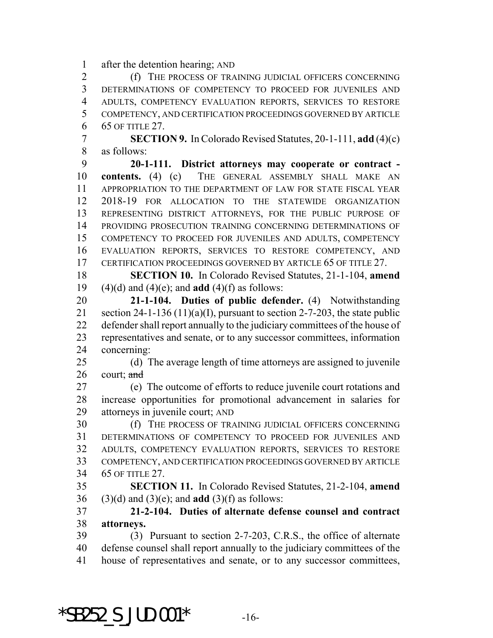after the detention hearing; AND

 (f) THE PROCESS OF TRAINING JUDICIAL OFFICERS CONCERNING DETERMINATIONS OF COMPETENCY TO PROCEED FOR JUVENILES AND ADULTS, COMPETENCY EVALUATION REPORTS, SERVICES TO RESTORE COMPETENCY, AND CERTIFICATION PROCEEDINGS GOVERNED BY ARTICLE 65 OF TITLE 27.

 **SECTION 9.** In Colorado Revised Statutes, 20-1-111, **add** (4)(c) as follows:

 **20-1-111. District attorneys may cooperate or contract - contents.** (4) (c) THE GENERAL ASSEMBLY SHALL MAKE AN APPROPRIATION TO THE DEPARTMENT OF LAW FOR STATE FISCAL YEAR 2018-19 FOR ALLOCATION TO THE STATEWIDE ORGANIZATION REPRESENTING DISTRICT ATTORNEYS, FOR THE PUBLIC PURPOSE OF PROVIDING PROSECUTION TRAINING CONCERNING DETERMINATIONS OF COMPETENCY TO PROCEED FOR JUVENILES AND ADULTS, COMPETENCY EVALUATION REPORTS, SERVICES TO RESTORE COMPETENCY, AND CERTIFICATION PROCEEDINGS GOVERNED BY ARTICLE 65 OF TITLE 27.

 **SECTION 10.** In Colorado Revised Statutes, 21-1-104, **amend** (4)(d) and (4)(e); and **add** (4)(f) as follows:

 **21-1-104. Duties of public defender.** (4) Notwithstanding 21 section 24-1-136 (11)(a)(I), pursuant to section 2-7-203, the state public defender shall report annually to the judiciary committees of the house of representatives and senate, or to any successor committees, information concerning:

 (d) The average length of time attorneys are assigned to juvenile 26 court;  $\text{and}$ 

 (e) The outcome of efforts to reduce juvenile court rotations and increase opportunities for promotional advancement in salaries for attorneys in juvenile court; AND

 (f) THE PROCESS OF TRAINING JUDICIAL OFFICERS CONCERNING DETERMINATIONS OF COMPETENCY TO PROCEED FOR JUVENILES AND ADULTS, COMPETENCY EVALUATION REPORTS, SERVICES TO RESTORE COMPETENCY, AND CERTIFICATION PROCEEDINGS GOVERNED BY ARTICLE 65 OF TITLE 27.

 **SECTION 11.** In Colorado Revised Statutes, 21-2-104, **amend** (3)(d) and (3)(e); and **add** (3)(f) as follows:

 **21-2-104. Duties of alternate defense counsel and contract attorneys.**

 (3) Pursuant to section 2-7-203, C.R.S., the office of alternate defense counsel shall report annually to the judiciary committees of the house of representatives and senate, or to any successor committees,

\*SB252 S JUD.001\*  $-16$ -